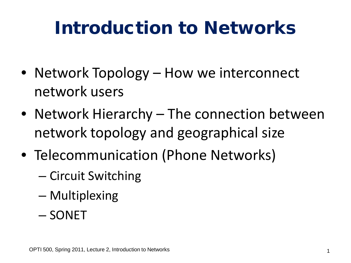# Introduction to Networks

- Network Topology How we interconnect network users
- Network Hierarchy The connection between network topology and geographical size
- Telecommunication (Phone Networks)
	- Circuit Switching
	- Multiplexing
	- SONET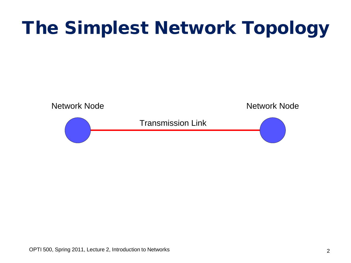# The Simplest Network Topology

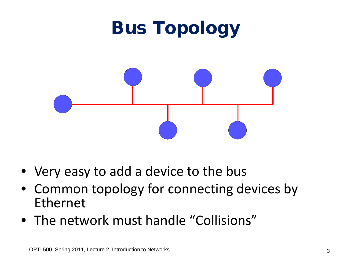

- Very easy to add a device to the bus
- Common topology for connecting devices by Ethernet
- The network must handle "Collisions"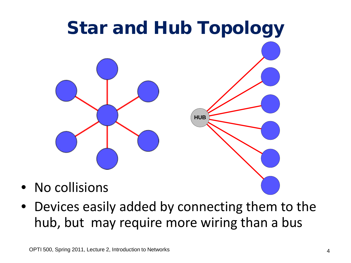

• Devices easily added by connecting them to the hub, but may require more wiring than a bus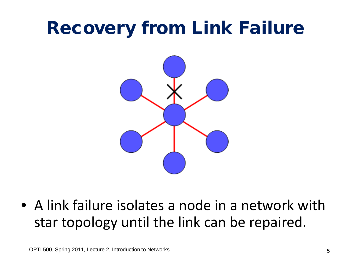#### Recovery from Link Failure



• A link failure isolates a node in a network with star topology until the link can be repaired.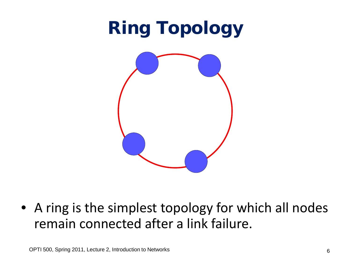

• A ring is the simplest topology for which all nodes remain connected after a link failure.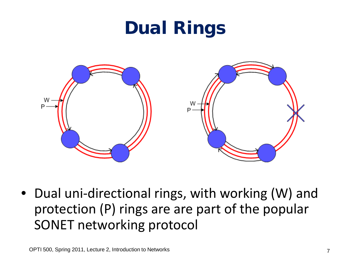### Dual Rings



• Dual uni-directional rings, with working (W) and protection (P) rings are are part of the popular SONET networking protocol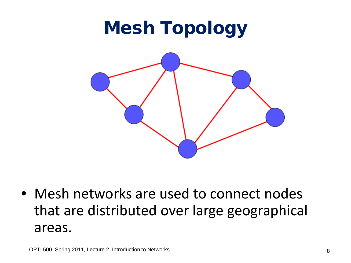# Mesh Topology



• Mesh networks are used to connect nodes that are distributed over large geographical areas.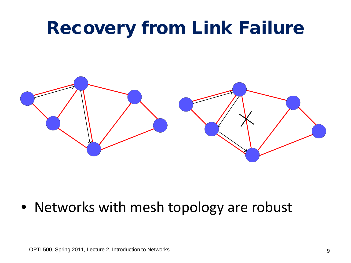#### Recovery from Link Failure



• Networks with mesh topology are robust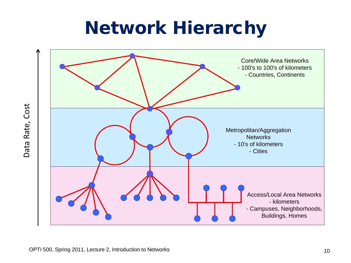#### Network Hierarchy

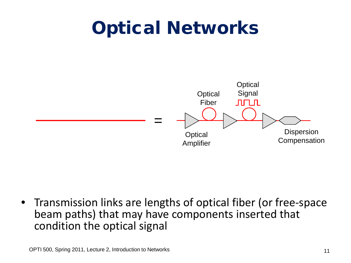### Optical Networks



• Transmission links are lengths of optical fiber (or free-space beam paths) that may have components inserted that condition the optical signal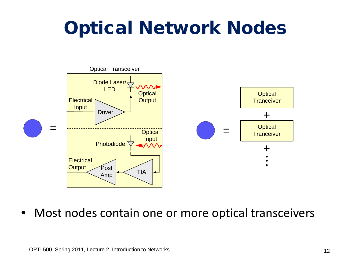# Optical Network Nodes



• Most nodes contain one or more optical transceivers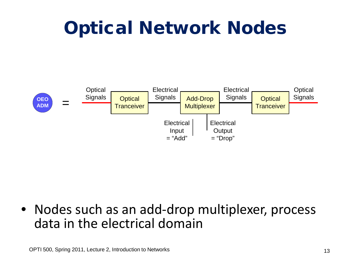## Optical Network Nodes



• Nodes such as an add-drop multiplexer, process data in the electrical domain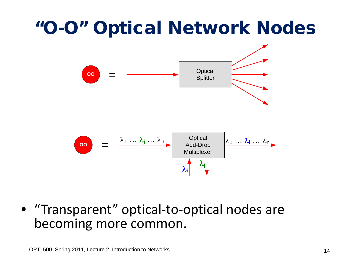### "O-O" Optical Network Nodes



• "Transparent" optical-to-optical nodes are becoming more common.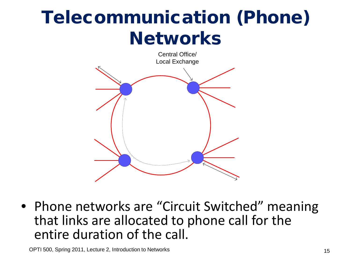## Telecommunication (Phone) **Networks**



• Phone networks are "Circuit Switched" meaning that links are allocated to phone call for the entire duration of the call.

OPTI 500, Spring 2011, Lecture 2, Introduction to Networks 15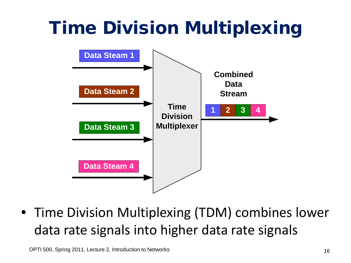# Time Division Multiplexing



• Time Division Multiplexing (TDM) combines lower data rate signals into higher data rate signals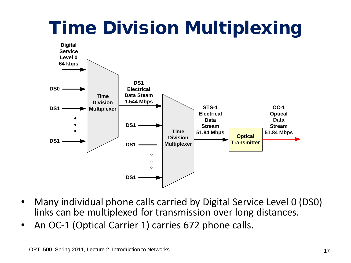# Time Division Multiplexing



- Many individual phone calls carried by Digital Service Level 0 (DS0) links can be multiplexed for transmission over long distances.
- An OC-1 (Optical Carrier 1) carries 672 phone calls.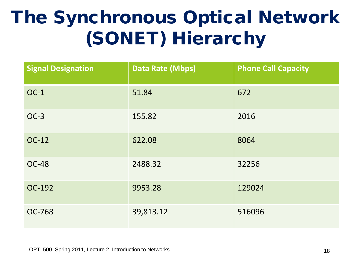# The Synchronous Optical Network (SONET) Hierarchy

| <b>Signal Designation</b> | <b>Data Rate (Mbps)</b> | <b>Phone Call Capacity</b> |
|---------------------------|-------------------------|----------------------------|
| $OC-1$                    | 51.84                   | 672                        |
| $OC-3$                    | 155.82                  | 2016                       |
| OC-12                     | 622.08                  | 8064                       |
| <b>OC-48</b>              | 2488.32                 | 32256                      |
| OC-192                    | 9953.28                 | 129024                     |
| <b>OC-768</b>             | 39,813.12               | 516096                     |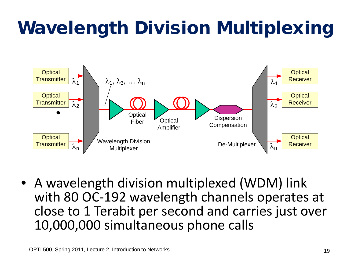# Wavelength Division Multiplexing



• A wavelength division multiplexed (WDM) link with 80 OC-192 wavelength channels operates at close to 1 Terabit per second and carries just over 10,000,000 simultaneous phone calls